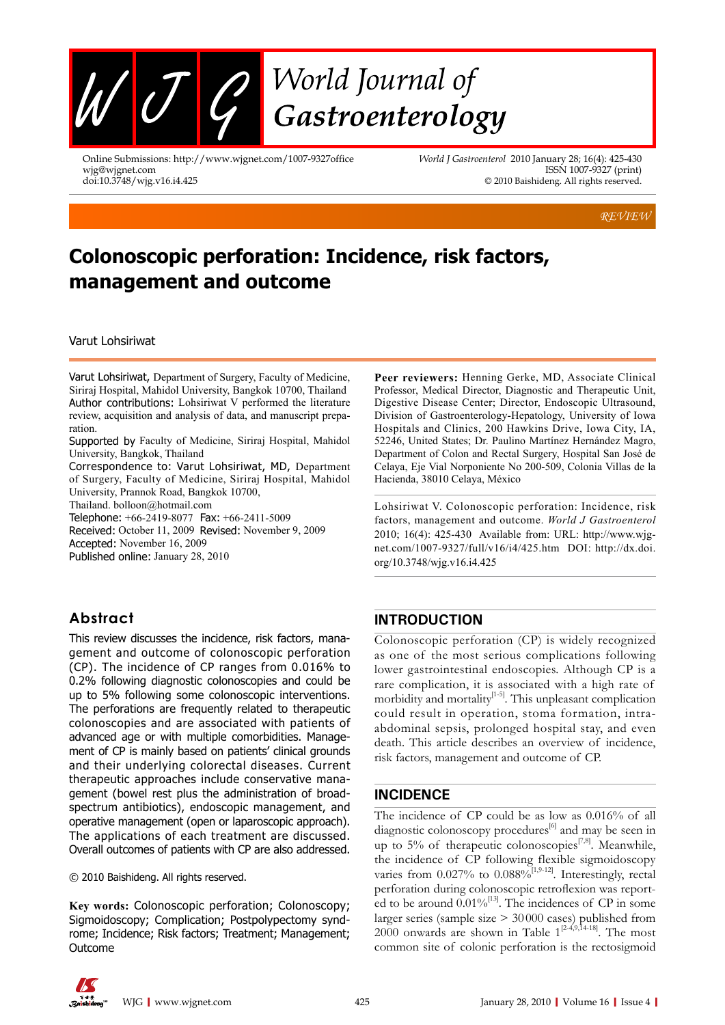

Online Submissions: http://www.wjgnet.com/1007-9327office wjg@wjgnet.com doi:10.3748/wjg.v16.i4.425

*World J Gastroenterol* 2010 January 28; 16(4): 425-430 ISSN 1007-9327 (print) © 2010 Baishideng. All rights reserved.

*REVIEW*

# **Colonoscopic perforation: Incidence, risk factors, management and outcome**

Varut Lohsiriwat

Varut Lohsiriwat, Department of Surgery, Faculty of Medicine, Siriraj Hospital, Mahidol University, Bangkok 10700, Thailand Author contributions: Lohsiriwat V performed the literature review, acquisition and analysis of data, and manuscript preparation.

Supported by Faculty of Medicine, Siriraj Hospital, Mahidol University, Bangkok, Thailand

Correspondence to: Varut Lohsiriwat, MD, Department of Surgery, Faculty of Medicine, Siriraj Hospital, Mahidol University, Prannok Road, Bangkok 10700,

Thailand. bolloon@hotmail.com

Telephone: +66-2419-8077 Fax: +66-2411-5009

Received: October 11, 2009 Revised: November 9, 2009 Accepted: November 16, 2009

Published online: January 28, 2010

# **Abstract**

This review discusses the incidence, risk factors, management and outcome of colonoscopic perforation (CP). The incidence of CP ranges from 0.016% to 0.2% following diagnostic colonoscopies and could be up to 5% following some colonoscopic interventions. The perforations are frequently related to therapeutic colonoscopies and are associated with patients of advanced age or with multiple comorbidities. Management of CP is mainly based on patients' clinical grounds and their underlying colorectal diseases. Current therapeutic approaches include conservative management (bowel rest plus the administration of broadspectrum antibiotics), endoscopic management, and operative management (open or laparoscopic approach). The applications of each treatment are discussed. Overall outcomes of patients with CP are also addressed.

© 2010 Baishideng. All rights reserved.

**Key words:** Colonoscopic perforation; Colonoscopy; Sigmoidoscopy; Complication; Postpolypectomy syndrome; Incidence; Risk factors; Treatment; Management; Outcome

**Peer reviewers:** Henning Gerke, MD, Associate Clinical Professor, Medical Director, Diagnostic and Therapeutic Unit, Digestive Disease Center; Director, Endoscopic Ultrasound, Division of Gastroenterology-Hepatology, University of Iowa Hospitals and Clinics, 200 Hawkins Drive, Iowa City, IA, 52246, United States; Dr. Paulino Martínez Hernández Magro, Department of Colon and Rectal Surgery, Hospital San José de Celaya, Eje Vial Norponiente No 200-509, Colonia Villas de la Hacienda, 38010 Celaya, México

Lohsiriwat V. Colonoscopic perforation: Incidence, risk factors, management and outcome. *World J Gastroenterol* 2010; 16(4): 425-430 Available from: URL: http://www.wjgnet.com/1007-9327/full/v16/i4/425.htm DOI: http://dx.doi. org/10.3748/wjg.v16.i4.425

# **INTRODUCTION**

Colonoscopic perforation (CP) is widely recognized as one of the most serious complications following lower gastrointestinal endoscopies. Although CP is a rare complication, it is associated with a high rate of morbidity and mortality<sup>[1-5]</sup>. This unpleasant complication could result in operation, stoma formation, intraabdominal sepsis, prolonged hospital stay, and even death. This article describes an overview of incidence, risk factors, management and outcome of CP.

# **INCIDENCE**

The incidence of CP could be as low as 0.016% of all diagnostic colonoscopy procedures<sup>[6]</sup> and may be seen in up to 5% of therapeutic colonoscopies<sup>[7,8]</sup>. Meanwhile, the incidence of CP following flexible sigmoidoscopy varies from  $0.027\%$  to  $0.088\%$ <sup>[1,9-12]</sup>. Interestingly, rectal perforation during colonoscopic retroflexion was reported to be around  $0.01\%^{[13]}$ . The incidences of CP in some larger series (sample size > 30 000 cases) published from 2000 onwards are shown in Table  $1^{[2-4,9,14-18]}$ . The most common site of colonic perforation is the rectosigmoid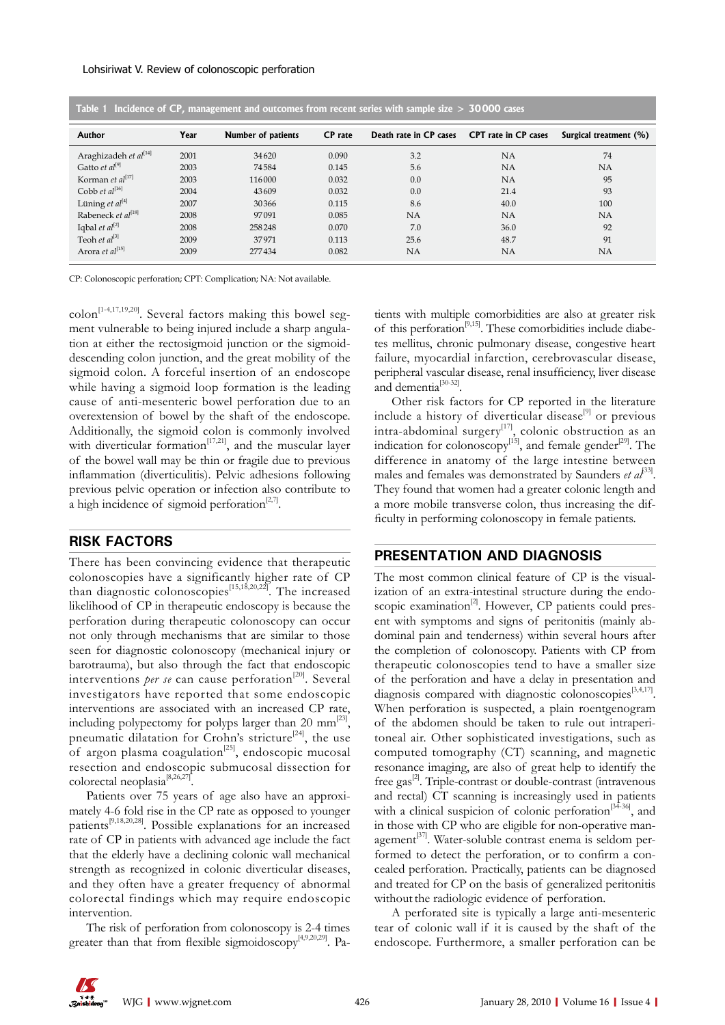#### Lohsiriwat V. Review of colonoscopic perforation

| Table 1 Incidence of CP, management and outcomes from recent series with sample size $>$ 30000 cases |      |                    |                |                        |                             |                        |
|------------------------------------------------------------------------------------------------------|------|--------------------|----------------|------------------------|-----------------------------|------------------------|
| Author                                                                                               | Year | Number of patients | <b>CP</b> rate | Death rate in CP cases | <b>CPT</b> rate in CP cases | Surgical treatment (%) |
| Araghizadeh et al <sup>[14]</sup>                                                                    | 2001 | 34620              | 0.090          | 3.2                    | <b>NA</b>                   | 74                     |
| Gatto et $al^{[9]}$                                                                                  | 2003 | 74584              | 0.145          | 5.6                    | <b>NA</b>                   | <b>NA</b>              |
| Korman et al <sup>[17]</sup>                                                                         | 2003 | 116000             | 0.032          | 0.0                    | <b>NA</b>                   | 95                     |
| Cobb et $al^{[16]}$                                                                                  | 2004 | 43609              | 0.032          | 0.0                    | 21.4                        | 93                     |
| Lüning et $al^{[4]}$                                                                                 | 2007 | 30366              | 0.115          | 8.6                    | 40.0                        | 100                    |
| Rabeneck et al <sup>[18]</sup>                                                                       | 2008 | 97091              | 0.085          | <b>NA</b>              | <b>NA</b>                   | <b>NA</b>              |
| Iqbal et $al^{[2]}$                                                                                  | 2008 | 258248             | 0.070          | 7.0                    | 36.0                        | 92                     |
| Teoh et $al^{[3]}$                                                                                   | 2009 | 37971              | 0.113          | 25.6                   | 48.7                        | 91                     |
| Arora et al <sup>[15]</sup>                                                                          | 2009 | 277434             | 0.082          | <b>NA</b>              | NA                          | NA                     |

CP: Colonoscopic perforation; CPT: Complication; NA: Not available.

 $\text{colon}$ <sup>[1-4,17,19,20]</sup>. Several factors making this bowel segment vulnerable to being injured include a sharp angulation at either the rectosigmoid junction or the sigmoiddescending colon junction, and the great mobility of the sigmoid colon. A forceful insertion of an endoscope while having a sigmoid loop formation is the leading cause of anti-mesenteric bowel perforation due to an overextension of bowel by the shaft of the endoscope. Additionally, the sigmoid colon is commonly involved with diverticular formation<sup>[17,21]</sup>, and the muscular layer of the bowel wall may be thin or fragile due to previous inflammation (diverticulitis). Pelvic adhesions following previous pelvic operation or infection also contribute to a high incidence of sigmoid perforation<sup>[2,7]</sup>.

## **RISK FACTORS**

There has been convincing evidence that therapeutic colonoscopies have a significantly higher rate of CP than diagnostic colonoscopies<sup>[15,18,20,22]</sup>. The increased likelihood of CP in therapeutic endoscopy is because the perforation during therapeutic colonoscopy can occur not only through mechanisms that are similar to those seen for diagnostic colonoscopy (mechanical injury or barotrauma), but also through the fact that endoscopic interventions *per se* can cause perforation<sup>[20]</sup>. Several investigators have reported that some endoscopic interventions are associated with an increased CP rate, including polypectomy for polyps larger than 20 mm<sup>[23]</sup>, pneumatic dilatation for Crohn's stricture<sup>[24]</sup>, the use of argon plasma coagulation<sup>[25]</sup>, endoscopic mucosal resection and endoscopic submucosal dissection for colorectal neoplasia[8,26,27].

Patients over 75 years of age also have an approximately 4-6 fold rise in the CP rate as opposed to younger patients<sup>[9,18,20,28]</sup>. Possible explanations for an increased rate of CP in patients with advanced age include the fact that the elderly have a declining colonic wall mechanical strength as recognized in colonic diverticular diseases, and they often have a greater frequency of abnormal colorectal findings which may require endoscopic intervention.

The risk of perforation from colonoscopy is 2-4 times greater than that from flexible sigmoidoscopy<sup>[4,9,20,29]</sup>. Pa-

tients with multiple comorbidities are also at greater risk of this perforation<sup>[9,15]</sup>. These comorbidities include diabetes mellitus, chronic pulmonary disease, congestive heart failure, myocardial infarction, cerebrovascular disease, peripheral vascular disease, renal insufficiency, liver disease and dementia<sup>[30-32]</sup>.

Other risk factors for CP reported in the literature include a history of diverticular disease<sup>[9]</sup> or previous intra-abdominal surgery<sup>[17]</sup>, colonic obstruction as an indication for colonoscopy $[15]$ , and female gender $[29]$ . The difference in anatomy of the large intestine between males and females was demonstrated by Saunders *et al*<sup>33]</sup>. They found that women had a greater colonic length and a more mobile transverse colon, thus increasing the difficulty in performing colonoscopy in female patients.

## **PRESENTATION AND DIAGNOSIS**

The most common clinical feature of CP is the visualization of an extra-intestinal structure during the endoscopic examination $^{[2]}$ . However, CP patients could present with symptoms and signs of peritonitis (mainly abdominal pain and tenderness) within several hours after the completion of colonoscopy. Patients with CP from therapeutic colonoscopies tend to have a smaller size of the perforation and have a delay in presentation and diagnosis compared with diagnostic colonoscopies<sup>[3,4,17]</sup>. When perforation is suspected, a plain roentgenogram of the abdomen should be taken to rule out intraperitoneal air. Other sophisticated investigations, such as computed tomography (CT) scanning, and magnetic resonance imaging, are also of great help to identify the free gas $^{2}$ . Triple-contrast or double-contrast (intravenous and rectal) CT scanning is increasingly used in patients with a clinical suspicion of colonic perforation<sup>[34-36]</sup>, and in those with CP who are eligible for non-operative management<sup>[37]</sup>. Water-soluble contrast enema is seldom performed to detect the perforation, or to confirm a concealed perforation. Practically, patients can be diagnosed and treated for CP on the basis of generalized peritonitis without the radiologic evidence of perforation.

A perforated site is typically a large anti-mesenteric tear of colonic wall if it is caused by the shaft of the endoscope. Furthermore, a smaller perforation can be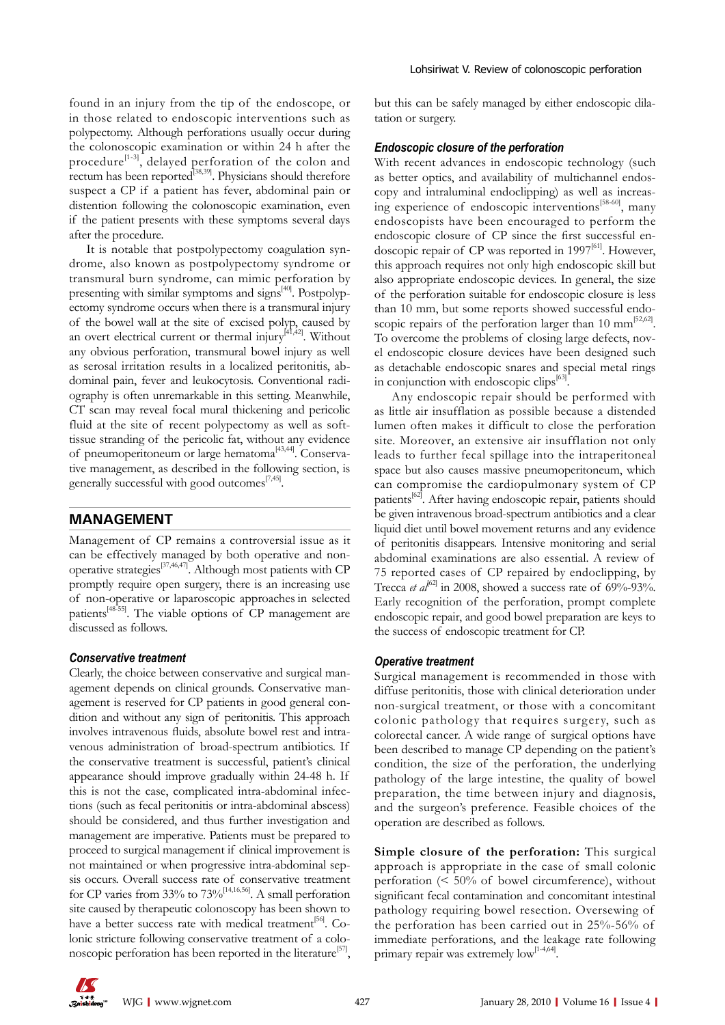found in an injury from the tip of the endoscope, or in those related to endoscopic interventions such as polypectomy. Although perforations usually occur during the colonoscopic examination or within 24 h after the procedure<sup>[1-3]</sup>, delayed perforation of the colon and rectum has been reported<sup>[38,39]</sup>. Physicians should therefore suspect a CP if a patient has fever, abdominal pain or distention following the colonoscopic examination, even if the patient presents with these symptoms several days after the procedure.

It is notable that postpolypectomy coagulation syndrome, also known as postpolypectomy syndrome or transmural burn syndrome, can mimic perforation by presenting with similar symptoms and signs $[40]$ . Postpolypectomy syndrome occurs when there is a transmural injury of the bowel wall at the site of excised polyp, caused by an overt electrical current or thermal injury $^{[41,42]}$ . Without any obvious perforation, transmural bowel injury as well as serosal irritation results in a localized peritonitis, abdominal pain, fever and leukocytosis. Conventional radiography is often unremarkable in this setting. Meanwhile, CT scan may reveal focal mural thickening and pericolic fluid at the site of recent polypectomy as well as softtissue stranding of the pericolic fat, without any evidence of pneumoperitoneum or large hematoma<sup>[43,44]</sup>. Conservative management, as described in the following section, is generally successful with good outcomes $\frac{[7,45]}{2}$ .

## **MANAGEMENT**

Management of CP remains a controversial issue as it can be effectively managed by both operative and nonoperative strategies[37,46,47]. Although most patients with CP promptly require open surgery, there is an increasing use of non-operative or laparoscopic approaches in selected patients[48-55]. The viable options of CP management are discussed as follows.

#### *Conservative treatment*

Clearly, the choice between conservative and surgical management depends on clinical grounds. Conservative management is reserved for CP patients in good general condition and without any sign of peritonitis. This approach involves intravenous fluids, absolute bowel rest and intravenous administration of broad-spectrum antibiotics. If the conservative treatment is successful, patient's clinical appearance should improve gradually within 24-48 h. If this is not the case, complicated intra-abdominal infections (such as fecal peritonitis or intra-abdominal abscess) should be considered, and thus further investigation and management are imperative. Patients must be prepared to proceed to surgical management if clinical improvement is not maintained or when progressive intra-abdominal sepsis occurs. Overall success rate of conservative treatment for CP varies from 33% to  $73\%$ <sup>[14,16,56]</sup>. A small perforation site caused by therapeutic colonoscopy has been shown to have a better success rate with medical treatment<sup>[56]</sup>. Colonic stricture following conservative treatment of a colonoscopic perforation has been reported in the literature<sup>[57]</sup>,

but this can be safely managed by either endoscopic dilatation or surgery.

#### *Endoscopic closure of the perforation*

With recent advances in endoscopic technology (such as better optics, and availability of multichannel endoscopy and intraluminal endoclipping) as well as increasing experience of endoscopic interventions<sup>[58-60]</sup>, many endoscopists have been encouraged to perform the endoscopic closure of CP since the first successful endoscopic repair of CP was reported in 1997 $[61]$ . However, this approach requires not only high endoscopic skill but also appropriate endoscopic devices. In general, the size of the perforation suitable for endoscopic closure is less than 10 mm, but some reports showed successful endoscopic repairs of the perforation larger than 10 mm<sup>[52,62]</sup>. To overcome the problems of closing large defects, novel endoscopic closure devices have been designed such as detachable endoscopic snares and special metal rings in conjunction with endoscopic clips<sup>[63]</sup>.

Any endoscopic repair should be performed with as little air insufflation as possible because a distended lumen often makes it difficult to close the perforation site. Moreover, an extensive air insufflation not only leads to further fecal spillage into the intraperitoneal space but also causes massive pneumoperitoneum, which can compromise the cardiopulmonary system of CP patients<sup>[62]</sup>. After having endoscopic repair, patients should be given intravenous broad-spectrum antibiotics and a clear liquid diet until bowel movement returns and any evidence of peritonitis disappears. Intensive monitoring and serial abdominal examinations are also essential. A review of 75 reported cases of CP repaired by endoclipping, by Trecca *et al*<sup>62]</sup> in 2008, showed a success rate of 69%-93%. Early recognition of the perforation, prompt complete endoscopic repair, and good bowel preparation are keys to the success of endoscopic treatment for CP.

#### *Operative treatment*

Surgical management is recommended in those with diffuse peritonitis, those with clinical deterioration under non-surgical treatment, or those with a concomitant colonic pathology that requires surgery, such as colorectal cancer. A wide range of surgical options have been described to manage CP depending on the patient's condition, the size of the perforation, the underlying pathology of the large intestine, the quality of bowel preparation, the time between injury and diagnosis, and the surgeon's preference. Feasible choices of the operation are described as follows.

**Simple closure of the perforation:** This surgical approach is appropriate in the case of small colonic perforation (< 50% of bowel circumference), without significant fecal contamination and concomitant intestinal pathology requiring bowel resection. Oversewing of the perforation has been carried out in 25%-56% of immediate perforations, and the leakage rate following primary repair was extremely  $\text{low}^{[1-4,64]}.$ 

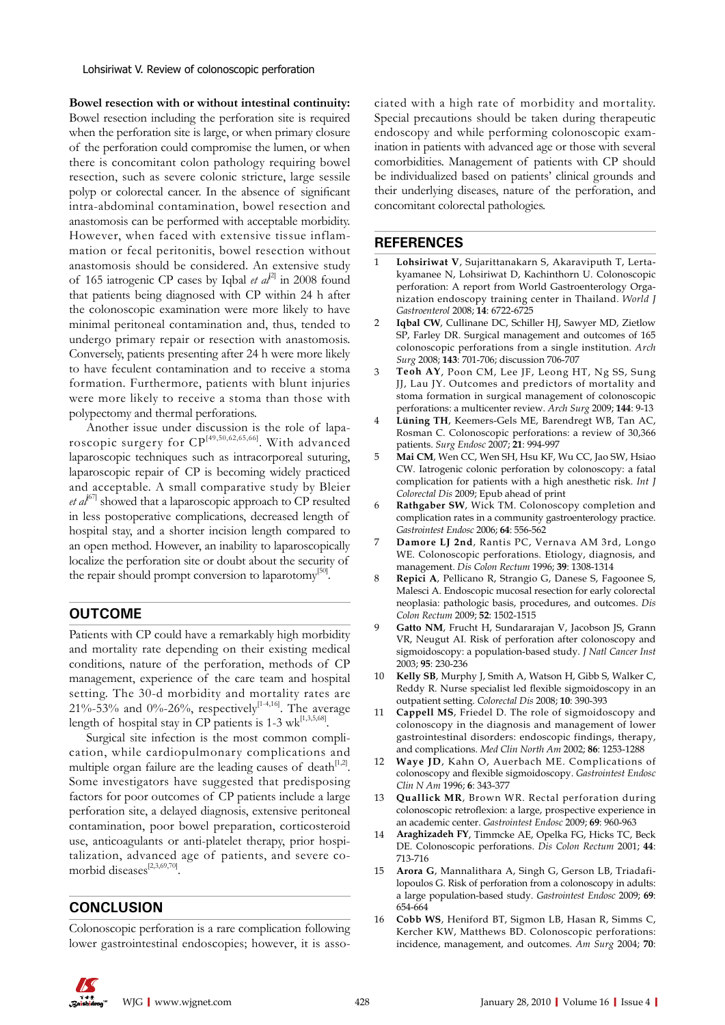Lohsiriwat V. Review of colonoscopic perforation

**Bowel resection with or without intestinal continuity:**  Bowel resection including the perforation site is required when the perforation site is large, or when primary closure of the perforation could compromise the lumen, or when there is concomitant colon pathology requiring bowel resection, such as severe colonic stricture, large sessile polyp or colorectal cancer. In the absence of significant intra-abdominal contamination, bowel resection and anastomosis can be performed with acceptable morbidity. However, when faced with extensive tissue inflammation or fecal peritonitis, bowel resection without anastomosis should be considered. An extensive study of 165 iatrogenic CP cases by Iqbal *et al*<sup>21</sup> in 2008 found that patients being diagnosed with CP within 24 h after the colonoscopic examination were more likely to have minimal peritoneal contamination and, thus, tended to undergo primary repair or resection with anastomosis. Conversely, patients presenting after 24 h were more likely to have feculent contamination and to receive a stoma formation. Furthermore, patients with blunt injuries were more likely to receive a stoma than those with polypectomy and thermal perforations.

Another issue under discussion is the role of laparoscopic surgery for CP[49,50,62,65,66]. With advanced laparoscopic techniques such as intracorporeal suturing, laparoscopic repair of CP is becoming widely practiced and acceptable. A small comparative study by Bleier *et al*<sup> $67$ </sup> showed that a laparoscopic approach to CP resulted in less postoperative complications, decreased length of hospital stay, and a shorter incision length compared to an open method. However, an inability to laparoscopically localize the perforation site or doubt about the security of the repair should prompt conversion to laparotomy<sup>[50]</sup>.

# **OUTCOME**

Patients with CP could have a remarkably high morbidity and mortality rate depending on their existing medical conditions, nature of the perforation, methods of CP management, experience of the care team and hospital setting. The 30-d morbidity and mortality rates are 21%-53% and 0%-26%, respectively<sup>[1-4,16]</sup>. The average length of hospital stay in CP patients is  $1-3$  wk<sup>[1,3,5,68]</sup>.

Surgical site infection is the most common complication, while cardiopulmonary complications and multiple organ failure are the leading causes of death $[1,2]$ . Some investigators have suggested that predisposing factors for poor outcomes of CP patients include a large perforation site, a delayed diagnosis, extensive peritoneal contamination, poor bowel preparation, corticosteroid use, anticoagulants or anti-platelet therapy, prior hospitalization, advanced age of patients, and severe comorbid diseases<sup>[2,3,69,70]</sup>.

# **CONCLUSION**

Colonoscopic perforation is a rare complication following lower gastrointestinal endoscopies; however, it is asso-

ciated with a high rate of morbidity and mortality. Special precautions should be taken during therapeutic endoscopy and while performing colonoscopic examination in patients with advanced age or those with several comorbidities. Management of patients with CP should be individualized based on patients' clinical grounds and their underlying diseases, nature of the perforation, and concomitant colorectal pathologies.

## **REFERENCES**

- 1 **Lohsiriwat V**, Sujarittanakarn S, Akaraviputh T, Lertakyamanee N, Lohsiriwat D, Kachinthorn U. Colonoscopic perforation: A report from World Gastroenterology Organization endoscopy training center in Thailand. *World J Gastroenterol* 2008; **14**: 6722-6725
- 2 **Iqbal CW**, Cullinane DC, Schiller HJ, Sawyer MD, Zietlow SP, Farley DR. Surgical management and outcomes of 165 colonoscopic perforations from a single institution. *Arch Surg* 2008; **143**: 701-706; discussion 706-707
- 3 **Teoh AY**, Poon CM, Lee JF, Leong HT, Ng SS, Sung JJ, Lau JY. Outcomes and predictors of mortality and stoma formation in surgical management of colonoscopic perforations: a multicenter review. *Arch Surg* 2009; **144**: 9-13
- Lüning TH, Keemers-Gels ME, Barendregt WB, Tan AC, Rosman C. Colonoscopic perforations: a review of 30,366 patients. *Surg Endosc* 2007; **21**: 994-997
- 5 **Mai CM**, Wen CC, Wen SH, Hsu KF, Wu CC, Jao SW, Hsiao CW. Iatrogenic colonic perforation by colonoscopy: a fatal complication for patients with a high anesthetic risk. *Int J Colorectal Dis* 2009; Epub ahead of print
- 6 **Rathgaber SW**, Wick TM. Colonoscopy completion and complication rates in a community gastroenterology practice. *Gastrointest Endosc* 2006; **64**: 556-562
- 7 **Damore LJ 2nd**, Rantis PC, Vernava AM 3rd, Longo WE. Colonoscopic perforations. Etiology, diagnosis, and management. *Dis Colon Rectum* 1996; **39**: 1308-1314
- 8 **Repici A**, Pellicano R, Strangio G, Danese S, Fagoonee S, Malesci A. Endoscopic mucosal resection for early colorectal neoplasia: pathologic basis, procedures, and outcomes. *Dis Colon Rectum* 2009; **52**: 1502-1515
- 9 **Gatto NM**, Frucht H, Sundararajan V, Jacobson JS, Grann VR, Neugut AI. Risk of perforation after colonoscopy and sigmoidoscopy: a population-based study. *J Natl Cancer Inst* 2003; **95**: 230-236
- Kelly SB, Murphy J, Smith A, Watson H, Gibb S, Walker C, Reddy R. Nurse specialist led flexible sigmoidoscopy in an outpatient setting. *Colorectal Dis* 2008; **10**: 390-393
- 11 **Cappell MS**, Friedel D. The role of sigmoidoscopy and colonoscopy in the diagnosis and management of lower gastrointestinal disorders: endoscopic findings, therapy, and complications. *Med Clin North Am* 2002; **86**: 1253-1288
- Waye JD, Kahn O, Auerbach ME. Complications of colonoscopy and flexible sigmoidoscopy. *Gastrointest Endosc Clin N Am* 1996; **6**: 343-377
- 13 **Quallick MR**, Brown WR. Rectal perforation during colonoscopic retroflexion: a large, prospective experience in an academic center. *Gastrointest Endosc* 2009; **69**: 960-963
- 14 **Araghizadeh FY**, Timmcke AE, Opelka FG, Hicks TC, Beck DE. Colonoscopic perforations. *Dis Colon Rectum* 2001; **44**: 713-716
- 15 **Arora G**, Mannalithara A, Singh G, Gerson LB, Triadafilopoulos G. Risk of perforation from a colonoscopy in adults: a large population-based study. *Gastrointest Endosc* 2009; **69**: 654-664
- 16 **Cobb WS**, Heniford BT, Sigmon LB, Hasan R, Simms C, Kercher KW, Matthews BD. Colonoscopic perforations: incidence, management, and outcomes. *Am Surg* 2004; **70**:

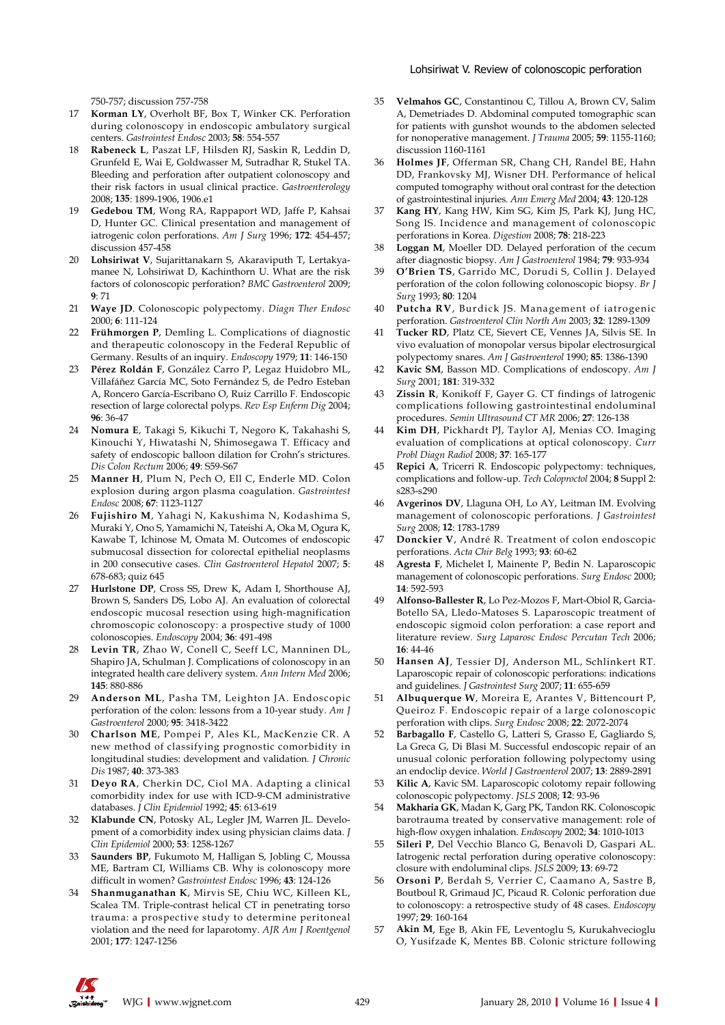#### Lohsiriwat V. Review of colonoscopic perforation

750-757; discussion 757-758

- 17 **Korman LY**, Overholt BF, Box T, Winker CK. Perforation during colonoscopy in endoscopic ambulatory surgical centers. *Gastrointest Endosc* 2003; **58**: 554-557
- 18 **Rabeneck L**, Paszat LF, Hilsden RJ, Saskin R, Leddin D, Grunfeld E, Wai E, Goldwasser M, Sutradhar R, Stukel TA. Bleeding and perforation after outpatient colonoscopy and their risk factors in usual clinical practice. *Gastroenterology* 2008; **135**: 1899-1906, 1906.e1
- 19 **Gedebou TM**, Wong RA, Rappaport WD, Jaffe P, Kahsai D, Hunter GC. Clinical presentation and management of iatrogenic colon perforations. *Am J Surg* 1996; **172**: 454-457; discussion 457-458
- 20 **Lohsiriwat V**, Sujarittanakarn S, Akaraviputh T, Lertakyamanee N, Lohsiriwat D, Kachinthorn U. What are the risk factors of colonoscopic perforation? *BMC Gastroenterol* 2009; **9**: 71
- 21 **Waye JD**. Colonoscopic polypectomy. *Diagn Ther Endosc* 2000; **6**: 111-124
- 22 **Frühmorgen P**, Demling L. Complications of diagnostic and therapeutic colonoscopy in the Federal Republic of Germany. Results of an inquiry. *Endoscopy* 1979; **11**: 146-150
- 23 **Pérez Roldán F**, González Carro P, Legaz Huidobro ML, Villafáñez García MC, Soto Fernández S, de Pedro Esteban A, Roncero García-Escribano O, Ruiz Carrillo F. Endoscopic resection of large colorectal polyps. *Rev Esp Enferm Dig* 2004; **96**: 36-47
- 24 **Nomura E**, Takagi S, Kikuchi T, Negoro K, Takahashi S, Kinouchi Y, Hiwatashi N, Shimosegawa T. Efficacy and safety of endoscopic balloon dilation for Crohn's strictures. *Dis Colon Rectum* 2006; **49**: S59-S67
- 25 **Manner H**, Plum N, Pech O, Ell C, Enderle MD. Colon explosion during argon plasma coagulation. *Gastrointest Endosc* 2008; **67**: 1123-1127
- 26 **Fujishiro M**, Yahagi N, Kakushima N, Kodashima S, Muraki Y, Ono S, Yamamichi N, Tateishi A, Oka M, Ogura K, Kawabe T, Ichinose M, Omata M. Outcomes of endoscopic submucosal dissection for colorectal epithelial neoplasms in 200 consecutive cases. *Clin Gastroenterol Hepatol* 2007; **5**: 678-683; quiz 645
- 27 **Hurlstone DP**, Cross SS, Drew K, Adam I, Shorthouse AJ, Brown S, Sanders DS, Lobo AJ. An evaluation of colorectal endoscopic mucosal resection using high-magnification chromoscopic colonoscopy: a prospective study of 1000 colonoscopies. *Endoscopy* 2004; **36**: 491-498
- 28 **Levin TR**, Zhao W, Conell C, Seeff LC, Manninen DL, Shapiro JA, Schulman J. Complications of colonoscopy in an integrated health care delivery system. *Ann Intern Med* 2006; **145**: 880-886
- 29 **Anderson ML**, Pasha TM, Leighton JA. Endoscopic perforation of the colon: lessons from a 10-year study. *Am J Gastroenterol* 2000; **95**: 3418-3422
- 30 **Charlson ME**, Pompei P, Ales KL, MacKenzie CR. A new method of classifying prognostic comorbidity in longitudinal studies: development and validation. *J Chronic Dis* 1987; **40**: 373-383
- 31 **Deyo RA**, Cherkin DC, Ciol MA. Adapting a clinical comorbidity index for use with ICD-9-CM administrative databases. *J Clin Epidemiol* 1992; **45**: 613-619
- 32 **Klabunde CN**, Potosky AL, Legler JM, Warren JL. Development of a comorbidity index using physician claims data. *J Clin Epidemiol* 2000; **53**: 1258-1267
- 33 **Saunders BP**, Fukumoto M, Halligan S, Jobling C, Moussa ME, Bartram CI, Williams CB. Why is colonoscopy more difficult in women? *Gastrointest Endosc* 1996; **43**: 124-126
- 34 **Shanmuganathan K**, Mirvis SE, Chiu WC, Killeen KL, Scalea TM. Triple-contrast helical CT in penetrating torso trauma: a prospective study to determine peritoneal violation and the need for laparotomy. *AJR Am J Roentgenol* 2001; **177**: 1247-1256
- 35 **Velmahos GC**, Constantinou C, Tillou A, Brown CV, Salim A, Demetriades D. Abdominal computed tomographic scan for patients with gunshot wounds to the abdomen selected for nonoperative management. *J Trauma* 2005; **59**: 1155-1160; discussion 1160-1161
- 36 **Holmes JF**, Offerman SR, Chang CH, Randel BE, Hahn DD, Frankovsky MJ, Wisner DH. Performance of helical computed tomography without oral contrast for the detection of gastrointestinal injuries. *Ann Emerg Med* 2004; **43**: 120-128
- 37 **Kang HY**, Kang HW, Kim SG, Kim JS, Park KJ, Jung HC, Song IS. Incidence and management of colonoscopic perforations in Korea. *Digestion* 2008; **78**: 218-223
- 38 **Loggan M**, Moeller DD. Delayed perforation of the cecum after diagnostic biopsy. *Am J Gastroenterol* 1984; **79**: 933-934
- 39 **O'Brien TS**, Garrido MC, Dorudi S, Collin J. Delayed perforation of the colon following colonoscopic biopsy. *Br J Surg* 1993; **80**: 1204
- 40 **Putcha RV**, Burdick JS. Management of iatrogenic perforation. *Gastroenterol Clin North Am* 2003; **32**: 1289-1309
- 41 **Tucker RD**, Platz CE, Sievert CE, Vennes JA, Silvis SE. In vivo evaluation of monopolar versus bipolar electrosurgical polypectomy snares. *Am J Gastroenterol* 1990; **85**: 1386-1390
- Kavic SM, Basson MD. Complications of endoscopy. Am J *Surg* 2001; **181**: 319-332
- 43 **Zissin R**, Konikoff F, Gayer G. CT findings of latrogenic complications following gastrointestinal endoluminal procedures. *Semin Ultrasound CT MR* 2006; **27**: 126-138
- Kim DH, Pickhardt PJ, Taylor AJ, Menias CO. Imaging evaluation of complications at optical colonoscopy. *Curr Probl Diagn Radiol* 2008; **37**: 165-177
- 45 **Repici A**, Tricerri R. Endoscopic polypectomy: techniques, complications and follow-up. *Tech Coloproctol* 2004; **8** Suppl 2: s283-s290
- 46 **Avgerinos DV**, Llaguna OH, Lo AY, Leitman IM. Evolving management of colonoscopic perforations. *J Gastrointest Surg* 2008; **12**: 1783-1789
- 47 **Donckier V**, André R. Treatment of colon endoscopic perforations. *Acta Chir Belg* 1993; **93**: 60-62
- 48 **Agresta F**, Michelet I, Mainente P, Bedin N. Laparoscopic management of colonoscopic perforations. *Surg Endosc* 2000; **14**: 592-593
- 49 **Alfonso-Ballester R**, Lo Pez-Mozos F, Mart-Obiol R, Garcia-Botello SA, Lledo-Matoses S. Laparoscopic treatment of endoscopic sigmoid colon perforation: a case report and literature review. *Surg Laparosc Endosc Percutan Tech* 2006; **16**: 44-46
- 50 **Hansen AJ**, Tessier DJ, Anderson ML, Schlinkert RT. Laparoscopic repair of colonoscopic perforations: indications and guidelines. *J Gastrointest Surg* 2007; **11**: 655-659
- 51 **Albuquerque W**, Moreira E, Arantes V, Bittencourt P, Queiroz F. Endoscopic repair of a large colonoscopic perforation with clips. *Surg Endosc* 2008; **22**: 2072-2074
- 52 **Barbagallo F**, Castello G, Latteri S, Grasso E, Gagliardo S, La Greca G, Di Blasi M. Successful endoscopic repair of an unusual colonic perforation following polypectomy using an endoclip device. *World J Gastroenterol* 2007; **13**: 2889-2891
- 53 **Kilic A**, Kavic SM. Laparoscopic colotomy repair following colonoscopic polypectomy. *JSLS* 2008; **12**: 93-96
- 54 **Makharia GK**, Madan K, Garg PK, Tandon RK. Colonoscopic barotrauma treated by conservative management: role of high-flow oxygen inhalation. *Endoscopy* 2002; **34**: 1010-1013
- 55 **Sileri P**, Del Vecchio Blanco G, Benavoli D, Gaspari AL. Iatrogenic rectal perforation during operative colonoscopy: closure with endoluminal clips. *JSLS* 2009; **13**: 69-72
- 56 **Orsoni P**, Berdah S, Verrier C, Caamano A, Sastre B, Boutboul R, Grimaud JC, Picaud R. Colonic perforation due to colonoscopy: a retrospective study of 48 cases. *Endoscopy* 1997; **29**: 160-164
- 57 **Akin M**, Ege B, Akin FE, Leventoglu S, Kurukahvecioglu O, Yusifzade K, Mentes BB. Colonic stricture following